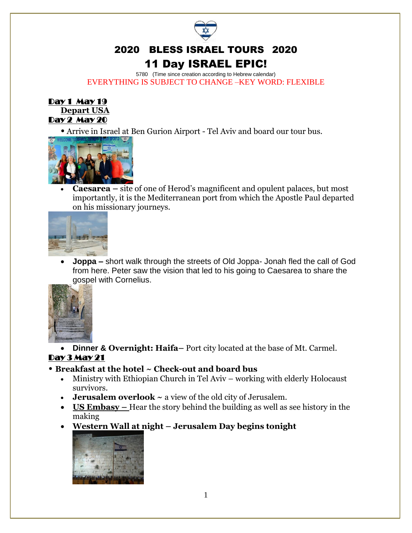

# 11 Day ISRAEL EPIC!

5780 (Time since creation according to Hebrew calendar) EVERYTHING IS SUBJECT TO CHANGE –KEY WORD: FLEXIBLE



• Arrive in Israel at Ben Gurion Airport - Tel Aviv and board our tour bus.



• **Caesarea –** site of one of Herod's magnificent and opulent palaces, but most importantly, it is the Mediterranean port from which the Apostle Paul departed on his missionary journeys.



• **Joppa –** short walk through the streets of Old Joppa- Jonah fled the call of God from here. Peter saw the vision that led to his going to Caesarea to share the gospel with Cornelius.



• **Dinner & Overnight: Haifa–** Port city located at the base of Mt. Carmel. Day 3 May 21

#### • **Breakfast at the hotel ~ Check-out and board bus**

- Ministry with Ethiopian Church in Tel Aviv working with elderly Holocaust survivors.
- **Jerusalem overlook ~** a view of the old city of Jerusalem.
- **US Embasy** Hear the story behind the building as well as see history in the making
- **Western Wall at night – Jerusalem Day begins tonight**

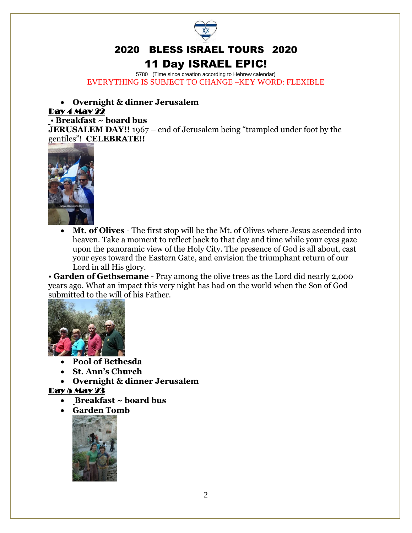

## 11 Day ISRAEL EPIC!

5780 (Time since creation according to Hebrew calendar) EVERYTHING IS SUBJECT TO CHANGE –KEY WORD: FLEXIBLE

#### • **Overnight & dinner Jerusalem**

#### Day 4 May 22

#### • **Breakfast ~ board bus**

**JERUSALEM DAY!!** 1967 – end of Jerusalem being "trampled under foot by the gentiles"! **CELEBRATE!!** 



• **Mt. of Olives** - The first stop will be the Mt. of Olives where Jesus ascended into heaven. Take a moment to reflect back to that day and time while your eyes gaze upon the panoramic view of the Holy City. The presence of God is all about, cast your eyes toward the Eastern Gate, and envision the triumphant return of our Lord in all His glory.

• **Garden of Gethsemane** - Pray among the olive trees as the Lord did nearly 2,000 years ago. What an impact this very night has had on the world when the Son of God submitted to the will of his Father.



- **Pool of Bethesda**
- **St. Ann's Church**
- **Overnight & dinner Jerusalem**

#### Day 5 May 23

- **Breakfast ~ board bus**
- **Garden Tomb**

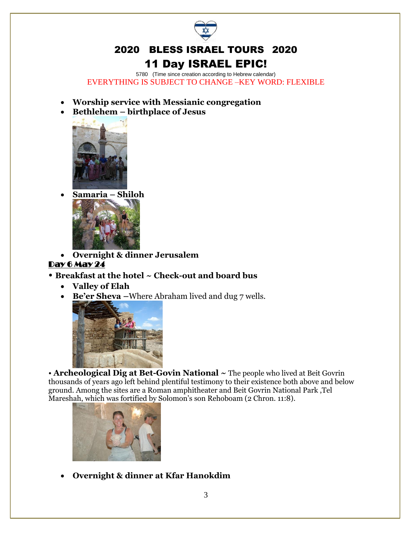

# 11 Day ISRAEL EPIC!

5780 (Time since creation according to Hebrew calendar) EVERYTHING IS SUBJECT TO CHANGE –KEY WORD: FLEXIBLE

- **Worship service with Messianic congregation**
- **Bethlehem – birthplace of Jesus**



• **Samaria – Shiloh** 



• **Overnight & dinner Jerusalem**

#### Day 6 May 24

#### • **Breakfast at the hotel ~ Check-out and board bus**

- **Valley of Elah**
- **Be'er Sheva –**Where Abraham lived and dug 7 wells.



• **Archeological Dig at Bet-Govin National ~** The people who lived at Beit Govrin thousands of years ago left behind plentiful testimony to their existence both above and below ground. Among the sites are a Roman amphitheater and Beit Govrin [National Park](http://www.goisrael.com/Tourism_Eng/Articles/Attractions/Pages/National%20Parks%20and%20Nature%20Reserves.aspx) ,Tel Mareshah, which was fortified by Solomon's son Rehoboam (2 Chron. 11:8).



• **Overnight & dinner at Kfar Hanokdim**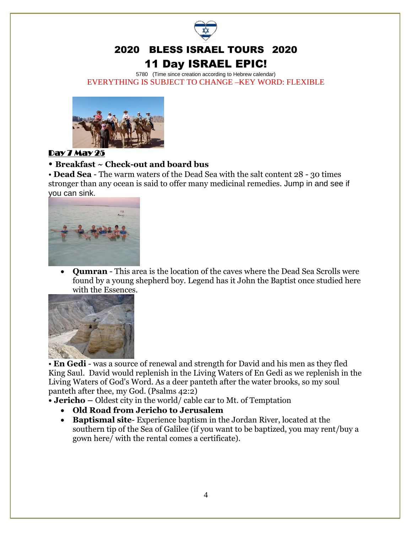

### 2020 BLESS ISRAEL TOURS 2020 11 Day ISRAEL EPIC!

5780 (Time since creation according to Hebrew calendar) EVERYTHING IS SUBJECT TO CHANGE –KEY WORD: FLEXIBLE



#### Day 7 May 25

#### • **Breakfast ~ Check-out and board bus**

• **Dead Sea** - The warm waters of the Dead Sea with the salt content 28 - 30 times stronger than any ocean is said to offer many medicinal remedies. Jump in and see if you can sink.



• **Qumran** - This area is the location of the caves where the Dead Sea Scrolls were found by a young shepherd boy. Legend has it John the Baptist once studied here with the Essences.



• **En Gedi** - was a source of renewal and strength for David and his men as they fled King Saul. David would replenish in the Living Waters of En Gedi as we replenish in the Living Waters of God's Word. As a deer panteth after the water brooks, so my soul panteth after thee, my God. (Psalms 42:2)

**• Jericho –** Oldest city in the world/ cable car to Mt. of Temptation

- **Old Road from Jericho to Jerusalem**
- **Baptismal site** Experience baptism in the Jordan River, located at the southern tip of the Sea of Galilee (if you want to be baptized, you may rent/buy a gown here/ with the rental comes a certificate).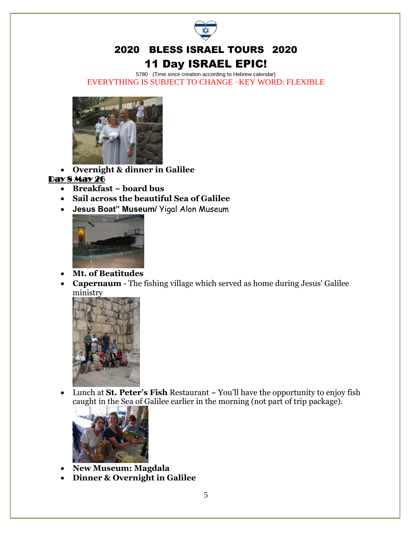

### 2020 BLESS ISRAEL TOURS 2020 11 Day ISRAEL EPIC!

5780 (Time since creation according to Hebrew calendar) EVERYTHING IS SUBJECT TO CHANGE –KEY WORD: FLEXIBLE



• **Overnight & dinner in Galilee**

#### Day 8 May 26

- **Breakfast ~ board bus**
- **Sail across the beautiful Sea of Galilee**
- **Jesus Boat" Museum/** Yigal Alon Museum



- **Mt. of Beatitudes**
- **Capernaum** The fishing village which served as home during Jesus' Galilee ministry



• Lunch at **St. Peter's Fish** Restaurant ~ You'll have the opportunity to enjoy fish caught in the Sea of Galilee earlier in the morning (not part of trip package).



- **New Museum: Magdala**
- **Dinner & Overnight in Galilee**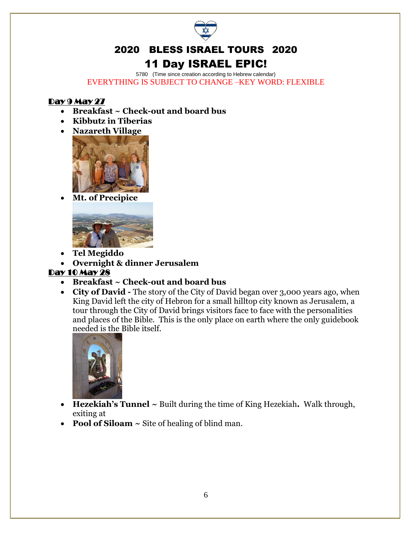

# 11 Day ISRAEL EPIC!

5780 (Time since creation according to Hebrew calendar) EVERYTHING IS SUBJECT TO CHANGE –KEY WORD: FLEXIBLE

#### Day 9 May 27

- **Breakfast ~ Check-out and board bus**
- **Kibbutz in Tiberias**
- **Nazareth Village**



• **Mt. of Precipice**



- **Tel Megiddo**
- **Overnight & dinner Jerusalem**

#### Day 10 May 28

- **Breakfast ~ Check-out and board bus**
- **City of David -** The story of the City of David began over 3,000 years ago, when King David left the city of Hebron for a small hilltop city known as Jerusalem, a tour through the City of David brings visitors face to face with the personalities and places of the Bible. This is the only place on earth where the only guidebook needed is the Bible itself.



- **Hezekiah's Tunnel ~** Built during the time of King Hezekiah**.** Walk through, exiting at
- **Pool of Siloam ~** Site of healing of blind man.